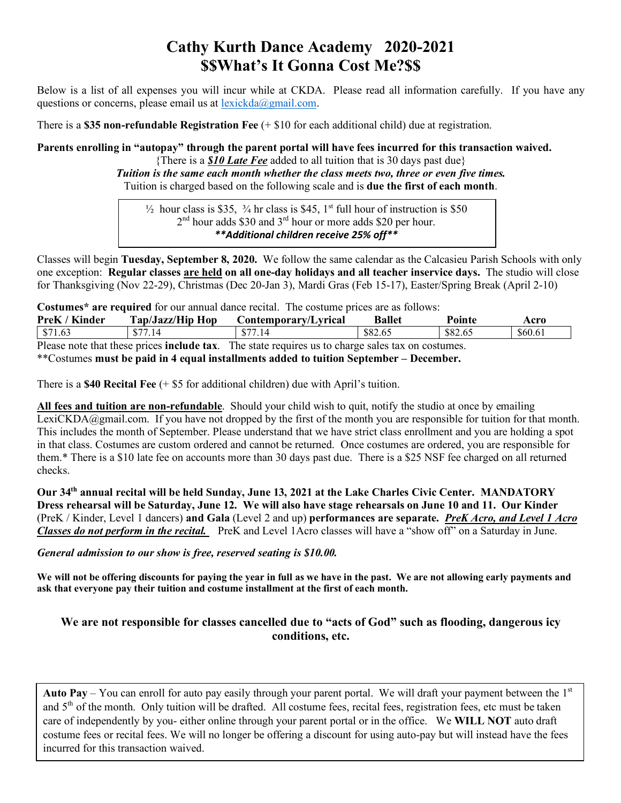# **Cathy Kurth Dance Academy 2020-2021 \$\$What's It Gonna Cost Me?\$\$**

Below is a list of all expenses you will incur while at CKDA. Please read all information carefully. If you have any questions or concerns, please email us at  $lexickda(\omega)$  gmail.com.

There is a **\$35 non-refundable Registration Fee** (+ \$10 for each additional child) due at registration.

**Parents enrolling in "autopay" through the parent portal will have fees incurred for this transaction waived.** 

{There is a *\$10 Late Fee* added to all tuition that is 30 days past due} *Tuition is the same each month whether the class meets two, three or even five times.* Tuition is charged based on the following scale and is **due the first of each month**.

 $\frac{1}{2}$  hour class is \$35,  $\frac{3}{4}$  hr class is \$45, 1<sup>st</sup> full hour of instruction is \$50 2<sup>nd</sup> hour adds \$30 and 3<sup>rd</sup> hour or more adds \$20 per hour. *\*\*Additional children receive 25% off\*\**

Classes will begin **Tuesday, September 8, 2020.** We follow the same calendar as the Calcasieu Parish Schools with only one exception: **Regular classes are held on all one-day holidays and all teacher inservice days.** The studio will close for Thanksgiving (Nov 22-29), Christmas (Dec 20-Jan 3), Mardi Gras (Feb 15-17), Easter/Spring Break (April 2-10)

**Costumes\* are required** for our annual dance recital. The costume prices are as follows:

| PreK / Kinder | Tap/Jazz/Hip Hop | Contemporary/Lyrical                                                                                      | <b>Ballet</b> | Pointe  | Acro    |
|---------------|------------------|-----------------------------------------------------------------------------------------------------------|---------------|---------|---------|
| \$71.63       | \$77.14          | \$77.14                                                                                                   | \$82.65       | \$82.65 | \$60.61 |
|               |                  | Please note that these prices <b>include tax</b> . The state requires us to charge sales tax on costumes. |               |         |         |

\*\*Costumes **must be paid in 4 equal installments added to tuition September – December.** 

There is a **\$40 Recital Fee** (+ \$5 for additional children) due with April's tuition.

**All fees and tuition are non-refundable**. Should your child wish to quit, notify the studio at once by emailing LexiCKDA@gmail.com. If you have not dropped by the first of the month you are responsible for tuition for that month. This includes the month of September. Please understand that we have strict class enrollment and you are holding a spot in that class. Costumes are custom ordered and cannot be returned. Once costumes are ordered, you are responsible for them.\* There is a \$10 late fee on accounts more than 30 days past due. There is a \$25 NSF fee charged on all returned checks.

**Our 34th annual recital will be held Sunday, June 13, 2021 at the Lake Charles Civic Center. MANDATORY Dress rehearsal will be Saturday, June 12. We will also have stage rehearsals on June 10 and 11. Our Kinder**  (PreK / Kinder, Level 1 dancers) **and Gala** (Level 2 and up) **performances are separate.** *PreK Acro, and Level 1 Acro Classes do not perform in the recital.* PreK and Level 1Acro classes will have a "show off" on a Saturday in June.

### *General admission to our show is free, reserved seating is \$10.00.*

**We will not be offering discounts for paying the year in full as we have in the past. We are not allowing early payments and ask that everyone pay their tuition and costume installment at the first of each month.** 

## **We are not responsible for classes cancelled due to "acts of God" such as flooding, dangerous icy conditions, etc.**

**Auto Pay** – You can enroll for auto pay easily through your parent portal. We will draft your payment between the  $1<sup>st</sup>$ and 5<sup>th</sup> of the month. Only tuition will be drafted. All costume fees, recital fees, registration fees, etc must be taken care of independently by you- either online through your parent portal or in the office. We **WILL NOT** auto draft costume fees or recital fees. We will no longer be offering a discount for using auto-pay but will instead have the fees incurred for this transaction waived.